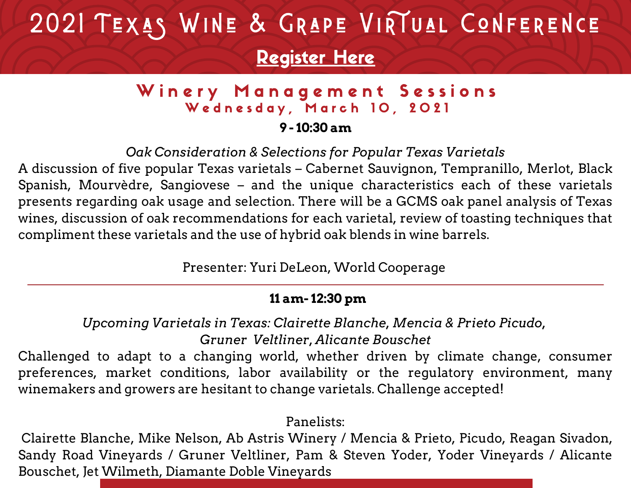# 2021 TEXAS WINE & GRAPE VIRTUAL CONFERENCE

## [Register](https://twgga.memberclicks.net/2021virtualforum#/) Here

### Winery Management Sessions Wednesday, March 10, 2021

#### **9 - 10:30 am**

*Oak Consideration & Selections for Popular Texas Varietals*

A discussion of five popular Texas varietals – Cabernet Sauvignon, Tempranillo, Merlot, Black Spanish, Mourvèdre, Sangiovese – and the unique characteristics each of these varietals presents regarding oak usage and selection. There will be a GCMS oak panel analysis of Texas wines, discussion of oak recommendations for each varietal, review of toasting techniques that compliment these varietals and the use of hybrid oak blends in wine barrels.

Presenter: Yuri DeLeon, World Cooperage

#### **11 am- 12:30 pm**

*Upcoming Varietals in Texas: Clairette Blanche, Mencia & Prieto Picudo, Gruner Veltliner, Alicante Bouschet*

Challenged to adapt to a changing world, whether driven by climate change, consumer preferences, market conditions, labor availability or the regulatory environment, many winemakers and growers are hesitant to change varietals. Challenge accepted!

#### Panelists:

Clairette Blanche, Mike Nelson, Ab Astris Winery / Mencia & Prieto, Picudo, Reagan Sivadon, Sandy Road Vineyards / Gruner Veltliner, Pam & Steven Yoder, Yoder Vineyards / Alicante Bouschet, Jet Wilmeth, Diamante Doble Vineyards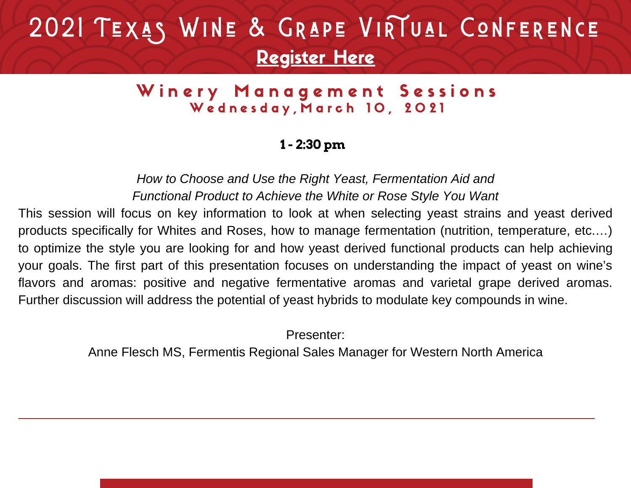# 2021 TEXAS WINE & GRAPE VIRTUAL CONFERENCE [Register](https://twgga.memberclicks.net/2021virtualforum#/) Here

#### Winery Management Sessions Wednesday, March 10, 2021

#### **1 - 2:30 pm**

*How to Choose and Use the Right Yeast, Fermentation Aid and Functional Product to Achieve the White or Rose Style You Want*

This session will focus on key information to look at when selecting yeast strains and yeast derived products specifically for Whites and Roses, how to manage fermentation (nutrition, temperature, etc.…) to optimize the style you are looking for and how yeast derived functional products can help achieving your goals. The first part of this presentation focuses on understanding the impact of yeast on wine's flavors and aromas: positive and negative fermentative aromas and varietal grape derived aromas. Further discussion will address the potential of yeast hybrids to modulate key compounds in wine.

Presenter:

Anne Flesch MS, Fermentis Regional Sales Manager for Western North America